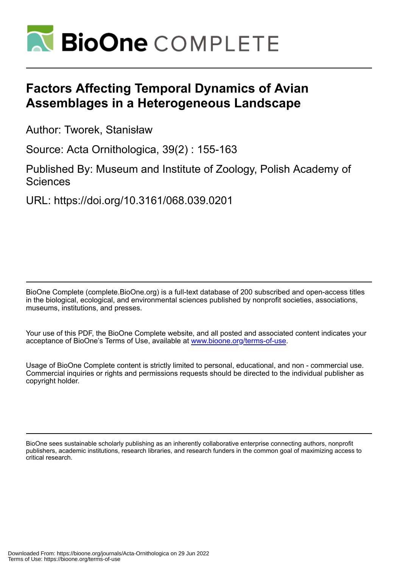

# **Factors Affecting Temporal Dynamics of Avian Assemblages in a Heterogeneous Landscape**

Author: Tworek, Stanisław

Source: Acta Ornithologica, 39(2) : 155-163

Published By: Museum and Institute of Zoology, Polish Academy of **Sciences** 

URL: https://doi.org/10.3161/068.039.0201

BioOne Complete (complete.BioOne.org) is a full-text database of 200 subscribed and open-access titles in the biological, ecological, and environmental sciences published by nonprofit societies, associations, museums, institutions, and presses.

Your use of this PDF, the BioOne Complete website, and all posted and associated content indicates your acceptance of BioOne's Terms of Use, available at www.bioone.org/terms-of-use.

Usage of BioOne Complete content is strictly limited to personal, educational, and non - commercial use. Commercial inquiries or rights and permissions requests should be directed to the individual publisher as copyright holder.

BioOne sees sustainable scholarly publishing as an inherently collaborative enterprise connecting authors, nonprofit publishers, academic institutions, research libraries, and research funders in the common goal of maximizing access to critical research.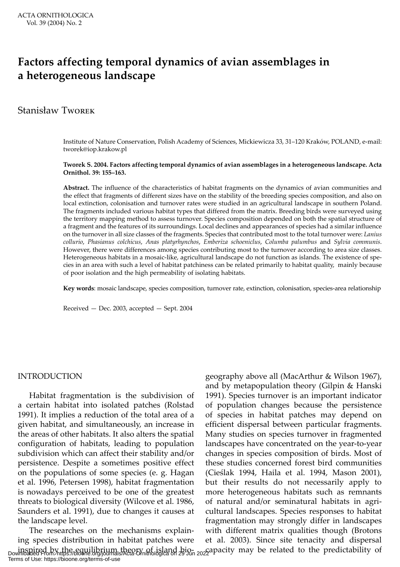## **Factors affecting temporal dynamics of avian assemblages in a heterogeneous landscape**

## Stanisław Tworek

Institute of Nature Conservation, Polish Academy of Sciences, Mickiewicza 33, 31–120 Kraków, POLAND, e-mail: tworek@iop.krakow.pl

#### **Tworek S. 2004. Factors affecting temporal dynamics of avian assemblages in a heterogeneous landscape. Acta Ornithol. 39: 155–163.**

**Abstract.** The influence of the characteristics of habitat fragments on the dynamics of avian communities and the effect that fragments of different sizes have on the stability of the breeding species composition, and also on local extinction, colonisation and turnover rates were studied in an agricultural landscape in southern Poland. The fragments included various habitat types that differed from the matrix. Breeding birds were surveyed using the territory mapping method to assess turnover. Species composition depended on both the spatial structure of a fragment and the features of its surroundings. Local declines and appearances of species had a similar influence on the turnover in all size classes of the fragments. Species that contributed most to the total turnover were: *Lanius collurio*, *Phasianus colchicus*, *Anas platyrhynchos*, *Emberiza schoeniclus*, *Columba palumbus* and *Sylvia communis*. However, there were differences among species contributing most to the turnover according to area size classes. Heterogeneous habitats in a mosaic-like, agricultural landscape do not function as islands. The existence of species in an area with such a level of habitat patchiness can be related primarily to habitat quality, mainly because of poor isolation and the high permeability of isolating habitats.

**Key words**: mosaic landscape, species composition, turnover rate, extinction, colonisation, species-area relationship

Received — Dec. 2003, accepted — Sept. 2004

## INTRODUCTION

Habitat fragmentation is the subdivision of a certain habitat into isolated patches (Rolstad 1991). It implies a reduction of the total area of a given habitat, and simultaneously, an increase in the areas of other habitats. It also alters the spatial configuration of habitats, leading to population subdivision which can affect their stability and/or persistence. Despite a sometimes positive effect on the populations of some species (e. g. Hagan et al. 1996, Petersen 1998), habitat fragmentation is nowadays perceived to be one of the greatest threats to biological diversity (Wilcove et al. 1986, Saunders et al. 1991), due to changes it causes at the landscape level.

The researches on the mechanisms explaining species distribution in habitat patches were inspired by the equilibrium theory of island bio-<br>Downloaded From: https://bioone.org/journals/Acta-Ornithologica on 29 Jun 2022 apacity may be related to the predictability of Terms of Use: https://bioone.org/terms-of-use

geography above all (MacArthur & Wilson 1967), and by metapopulation theory (Gilpin & Hanski 1991). Species turnover is an important indicator of population changes because the persistence of species in habitat patches may depend on efficient dispersal between particular fragments. Many studies on species turnover in fragmented landscapes have concentrated on the year-to-year changes in species composition of birds. Most of these studies concerned forest bird communities (Cieślak 1994, Haila et al. 1994, Mason 2001), but their results do not necessarily apply to more heterogeneous habitats such as remnants of natural and/or seminatural habitats in agricultural landscapes. Species responses to habitat fragmentation may strongly differ in landscapes with different matrix qualities though (Brotons et al. 2003). Since site tenacity and dispersal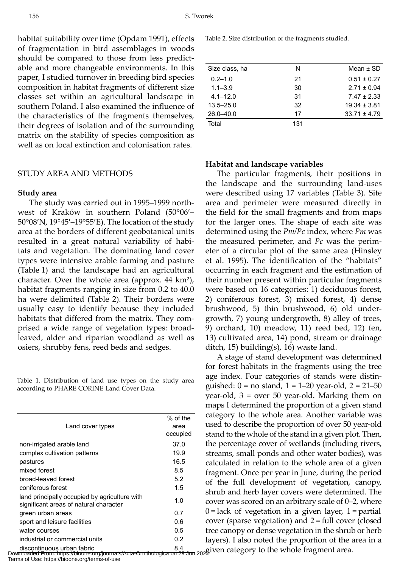habitat suitability over time (Opdam 1991), effects of fragmentation in bird assemblages in woods should be compared to those from less predictable and more changeable environments. In this paper, I studied turnover in breeding bird species composition in habitat fragments of different size classes set within an agricultural landscape in southern Poland. I also examined the influence of the characteristics of the fragments themselves, their degrees of isolation and of the surrounding matrix on the stability of species composition as well as on local extinction and colonisation rates.

#### STUDY AREA AND METHODS

#### **Study area**

The study was carried out in 1995–1999 northwest of Kraków in southern Poland (50°06′– 50°08′N, 19°45′–19°55′E). The location of the study area at the borders of different geobotanical units resulted in a great natural variability of habitats and vegetation. The dominating land cover types were intensive arable farming and pasture (Table 1) and the landscape had an agricultural character. Over the whole area (approx. 44 km²), habitat fragments ranging in size from 0.2 to 40.0 ha were delimited (Table 2). Their borders were usually easy to identify because they included habitats that differed from the matrix. They comprised a wide range of vegetation types: broadleaved, alder and riparian woodland as well as osiers, shrubby fens, reed beds and sedges.

Table 1. Distribution of land use types on the study area according to PHARE CORINE Land Cover Data.

| Land cover types                                                                        | $%$ of the<br>area<br>occupied |
|-----------------------------------------------------------------------------------------|--------------------------------|
| non-irrigated arable land                                                               | 37.0                           |
| complex cultivation patterns                                                            | 19.9                           |
| pastures                                                                                | 16.5                           |
| mixed forest                                                                            | 8.5                            |
| broad-leaved forest                                                                     | 52                             |
| coniferous forest                                                                       | 15                             |
| land principally occupied by agriculture with<br>significant areas of natural character | 1.0                            |
| green urban areas                                                                       | 0.7                            |
| sport and leisure facilities                                                            | 0 6                            |
| water courses                                                                           | 0.5                            |
| industrial or commercial units                                                          | 02                             |
| discontinuous urban fabric                                                              | 8.4                            |

Table 2. Size distribution of the fragments studied.

| Size class, ha | N   | Mean $\pm$ SD    |
|----------------|-----|------------------|
| $0.2 - 1.0$    | 21  | $0.51 \pm 0.27$  |
| $1.1 - 3.9$    | 30  | $2.71 \pm 0.94$  |
| $4.1 - 12.0$   | 31  | $747 + 233$      |
| $13.5 - 25.0$  | 32  | $19.34 \pm 3.81$ |
| $26.0 - 40.0$  | 17  | $33.71 \pm 4.79$ |
| Total          | 131 |                  |
|                |     |                  |

## **Habitat and landscape variables**

The particular fragments, their positions in the landscape and the surrounding land-uses were described using 17 variables (Table 3). Site area and perimeter were measured directly in the field for the small fragments and from maps for the larger ones. The shape of each site was determined using the *Pm/Pc* index, where *Pm* was the measured perimeter, and *Pc* was the perimeter of a circular plot of the same area (Hinsley et al. 1995). The identification of the "habitats" occurring in each fragment and the estimation of their number present within particular fragments were based on 16 categories: 1) deciduous forest, 2) coniferous forest, 3) mixed forest, 4) dense brushwood, 5) thin brushwood, 6) old undergrowth, 7) young undergrowth, 8) alley of trees, 9) orchard, 10) meadow, 11) reed bed, 12) fen, 13) cultivated area, 14) pond, stream or drainage ditch, 15) building(s), 16) waste land.

A stage of stand development was determined for forest habitats in the fragments using the tree age index. Four categories of stands were distinguished:  $0 = no$  stand,  $1 = 1 - 20$  year-old,  $2 = 21 - 50$ year-old, 3 = over 50 year-old. Marking them on maps I determined the proportion of a given stand category to the whole area. Another variable was used to describe the proportion of over 50 year-old stand to the whole of the stand in a given plot. Then, the percentage cover of wetlands (including rivers, streams, small ponds and other water bodies), was calculated in relation to the whole area of a given fragment. Once per year in June, during the period of the full development of vegetation, canopy, shrub and herb layer covers were determined. The cover was scored on an arbitrary scale of 0–2, where  $0 =$ lack of vegetation in a given layer,  $1 =$  partial cover (sparse vegetation) and 2 = full cover (closed tree canopy or dense vegetation in the shrub or herb layers). I also noted the proportion of the area in a

discontinuous urban fabric<br>Downloaded From: https://bioone.org/journals/Acta-Ornithologica on 29 Jun 2022 ven category to the whole fragment area. Terms of Use: https://bioone.org/terms-of-use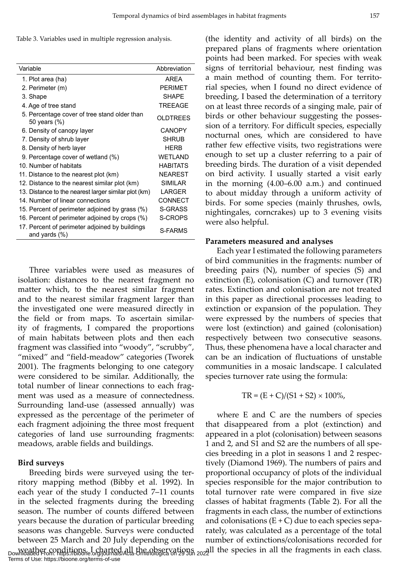Table 3. Variables used in multiple regression analysis.

| Variable                                                           | Abbreviation    |
|--------------------------------------------------------------------|-----------------|
| 1. Plot area (ha)                                                  | <b>ARFA</b>     |
| 2. Perimeter (m)                                                   | <b>PFRIMFT</b>  |
| 3. Shape                                                           | <b>SHAPF</b>    |
| 4. Age of tree stand                                               | <b>TREEAGE</b>  |
| 5. Percentage cover of tree stand older than<br>50 years (%)       | <b>OLDTREES</b> |
| 6. Density of canopy layer                                         | <b>CANOPY</b>   |
| 7. Density of shrub layer                                          | <b>SHRUB</b>    |
| 8. Density of herb layer                                           | <b>HFRB</b>     |
| 9. Percentage cover of wetland (%)                                 | <b>WFTI AND</b> |
| 10. Number of habitats                                             | <b>HABITATS</b> |
| 11. Distance to the nearest plot (km)                              | <b>NEAREST</b>  |
| 12. Distance to the nearest similar plot (km)                      | SIMII AR        |
| 13. Distance to the nearest larger similar plot (km)               | LARGER          |
| 14. Number of linear connections                                   | CONNECT         |
| 15. Percent of perimeter adjoined by grass (%)                     | S-GRASS         |
| 16. Percent of perimeter adjoined by crops (%)                     | S-CROPS         |
| 17. Percent of perimeter adjoined by buildings<br>and yards $(\%)$ | S-FARMS         |

Three variables were used as measures of isolation: distances to the nearest fragment no matter which, to the nearest similar fragment and to the nearest similar fragment larger than the investigated one were measured directly in the field or from maps. To ascertain similarity of fragments, I compared the proportions of main habitats between plots and then each fragment was classified into "woody", "scrubby", "mixed" and "field-meadow" categories (Tworek 2001). The fragments belonging to one category were considered to be similar. Additionally, the total number of linear connections to each fragment was used as a measure of connectedness. Surrounding land-use (assessed annually) was expressed as the percentage of the perimeter of each fragment adjoining the three most frequent categories of land use surrounding fragments: meadows, arable fields and buildings.

#### **Bird surveys**

Breeding birds were surveyed using the territory mapping method (Bibby et al. 1992). In each year of the study I conducted 7–11 counts in the selected fragments during the breeding season. The number of counts differed between years because the duration of particular breeding seasons was changeble. Surveys were conducted between 25 March and 20 July depending on the weather conditions. I charted all the observations <br>Downloaded From: https://bioone.org/journals/Acta-Ornithologica on 29 Jun 2022 1 the species in all the fragments in each class. Terms of Use: https://bioone.org/terms-of-use

(the identity and activity of all birds) on the prepared plans of fragments where orientation points had been marked. For species with weak signs of territorial behaviour, nest finding was a main method of counting them. For territorial species, when I found no direct evidence of breeding, I based the determination of a territory on at least three records of a singing male, pair of birds or other behaviour suggesting the possession of a territory. For difficult species, especially nocturnal ones, which are considered to have rather few effective visits, two registrations were enough to set up a cluster referring to a pair of breeding birds. The duration of a visit depended on bird activity. I usually started a visit early in the morning (4.00–6.00 a.m.) and continued to about midday through a uniform activity of birds. For some species (mainly thrushes, owls, nightingales, corncrakes) up to 3 evening visits were also helpful.

#### **Parameters measured and analyses**

Each year I estimated the following parameters of bird communities in the fragments: number of breeding pairs (N), number of species (S) and extinction (E), colonisation (C) and turnover (TR) rates. Extinction and colonisation are not treated in this paper as directional processes leading to extinction or expansion of the population. They were expressed by the numbers of species that were lost (extinction) and gained (colonisation) respectively between two consecutive seasons. Thus, these phenomena have a local character and can be an indication of fluctuations of unstable communities in a mosaic landscape. I calculated species turnover rate using the formula:

$$
TR = (E + C)/(S1 + S2) \times 100\%,
$$

where E and C are the numbers of species that disappeared from a plot (extinction) and appeared in a plot (colonisation) between seasons 1 and 2, and S1 and S2 are the numbers of all species breeding in a plot in seasons 1 and 2 respectively (Diamond 1969). The numbers of pairs and proportional occupancy of plots of the individual species responsible for the major contribution to total turnover rate were compared in five size classes of habitat fragments (Table 2). For all the fragments in each class, the number of extinctions and colonisations  $(E+C)$  due to each species separately, was calculated as a percentage of the total number of extinctions/colonisations recorded for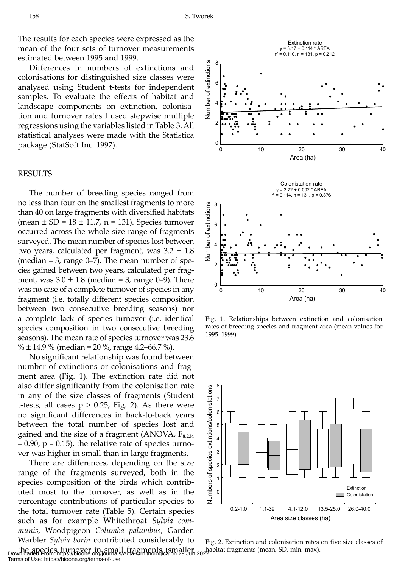The results for each species were expressed as the mean of the four sets of turnover measurements estimated between 1995 and 1999.

Differences in numbers of extinctions and colonisations for distinguished size classes were analysed using Student t-tests for independent samples. To evaluate the effects of habitat and landscape components on extinction, colonisation and turnover rates I used stepwise multiple regressions using the variables listed in Table 3. All statistical analyses were made with the Statistica package (StatSoft Inc. 1997).

#### RESULTS

The number of breeding species ranged from no less than four on the smallest fragments to more than 40 on large fragments with diversified habitats (mean  $\pm$  SD = 18  $\pm$  11.7, n = 131). Species turnover occurred across the whole size range of fragments surveyed. The mean number of species lost between two years, calculated per fragment, was  $3.2 \pm 1.8$ (median  $=$  3, range 0–7). The mean number of species gained between two years, calculated per fragment, was  $3.0 \pm 1.8$  (median = 3, range 0–9). There was no case of a complete turnover of species in any fragment (i.e. totally different species composition between two consecutive breeding seasons) nor a complete lack of species turnover (i.e. identical species composition in two consecutive breeding seasons). The mean rate of species turnover was 23.6 %  $\pm$  14.9 % (median = 20 %, range 4.2–66.7 %).

No significant relationship was found between number of extinctions or colonisations and fragment area (Fig. 1). The extinction rate did not also differ significantly from the colonisation rate in any of the size classes of fragments (Student t-tests, all cases  $p > 0.25$ , Fig. 2). As there were no significant differences in back-to-back years between the total number of species lost and gained and the size of a fragment (ANOVA,  $F_{8,234}$  = 0.90, p = 0.15), the relative rate of species turnover was higher in small than in large fragments.

There are differences, depending on the size range of the fragments surveyed, both in the species composition of the birds which contributed most to the turnover, as well as in the percentage contributions of particular species to the total turnover rate (Table 5). Certain species such as for example Whitethroat *Sylvia communis*, Woodpigeon *Columba palumbus*, Garden Warbler *Sylvia borin* contributed considerably to



Fig. 1. Relationships between extinction and colonisation rates of breeding species and fragment area (mean values for 1995–1999).



the species turnover in small fragments (smaller habitat fragments (mean, SD, min–max). Downloaded From: https://bioone.org/journals/Acta-Ornithologica on 29 Jun 2022 Fig. 2. Extinction and colonisation rates on five size classes of

Terms of Use: https://bioone.org/terms-of-use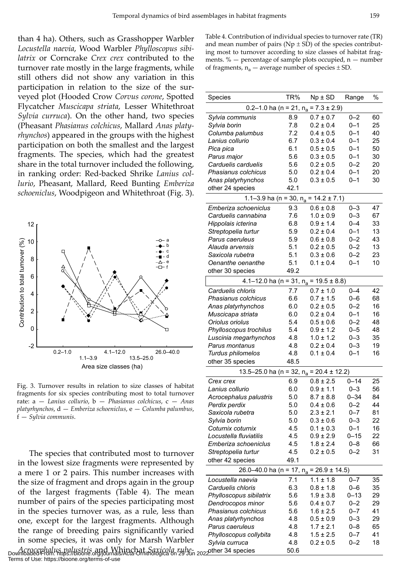than 4 ha). Others, such as Grasshopper Warbler *Locustella naevia*, Wood Warbler *Phylloscopus sibilatrix* or Corncrake *Crex crex* contributed to the turnover rate mostly in the large fragments, while still others did not show any variation in this participation in relation to the size of the surveyed plot (Hooded Crow *Corvus corone*, Spotted Flycatcher *Muscicapa striata*, Lesser Whitethroat *Sylvia curruca*). On the other hand, two species (Pheasant *Phasianus colchicus*, Mallard *Anas platyrhynchos*) appeared in the groups with the highest participation on both the smallest and the largest fragments. The species, which had the greatest share in the total turnover included the following, in ranking order: Red-backed Shrike *Lanius collurio*, Pheasant, Mallard, Reed Bunting *Emberiza schoeniclus*, Woodpigeon and Whitethroat (Fig. 3).



Fig. 3. Turnover results in relation to size classes of habitat fragments for six species contributing most to total turnover rate: a — *Lanius collurio*, b — *Phasianus colchicus*, c — *Anas platyrhynchos*, d — *Emberiza schoeniclus*, e — *Columba palumbus*, f — *Sylvia communis*.

The species that contributed most to turnover in the lowest size fragments were represented by a mere 1 or 2 pairs. This number increases with the size of fragment and drops again in the group of the largest fragments (Table 4). The mean number of pairs of the species participating most in the species turnover was, as a rule, less than one, except for the largest fragments. Although the range of breeding pairs significantly varied in some species, it was only for Marsh Warbler

*Acrocephalus palustris* and Whinchat *Saxicola rube-*other 34 species 50.6 Downloaded From: https://bioone.org/journals/Acta-Ornithologica on 29 Jun 2022 Terms of Use: https://bioone.org/terms-of-use

Table 4. Contribution of individual species to turnover rate (TR) and mean number of pairs ( $Np \pm SD$ ) of the species contributing most to turnover according to size classes of habitat fragments.  $%$  - percentage of sample plots occupied,  $n -$  number of fragments,  $n_a$  — average number of species  $\pm$  SD.

| Species                                                          | TR%        | $Np \pm SD$                                      | Range    | %  |
|------------------------------------------------------------------|------------|--------------------------------------------------|----------|----|
|                                                                  |            |                                                  |          |    |
|                                                                  |            | 0.2–1.0 ha (n = 21, n <sub>a</sub> = 7.3 ± 2.9)  |          |    |
| Sylvia communis                                                  | 8.9        | $0.7 \pm 0.7$                                    | $0 - 2$  | 60 |
| Sylvia borin                                                     | 7.8        | $0.2 \pm 0.4$                                    | $0 - 1$  | 25 |
| Columba palumbus                                                 | 7.2        | $0.4 \pm 0.5$                                    | $0 - 1$  | 40 |
| Lanius collurio                                                  | 6.7        | $0.3 \pm 0.4$                                    | $0 - 1$  | 25 |
| Pica pica                                                        | 6.1        | $0.5 \pm 0.5$                                    | $0 - 1$  | 50 |
| Parus major                                                      | 5.6        | $0.3 \pm 0.5$                                    | $0 - 1$  | 30 |
| Carduelis carduelis                                              | 5.6        | $0.2 \pm 0.5$                                    | $0 - 2$  | 20 |
| Phasianus colchicus                                              | 5.0        | $0.2 \pm 0.4$                                    | $0 - 1$  | 20 |
| Anas platyrhynchos                                               | 5.0        | $0.3 \pm 0.5$                                    | $0 - 1$  | 30 |
| other 24 species                                                 | 42.1       |                                                  |          |    |
|                                                                  |            | 1.1–3.9 ha (n = 30, n <sub>a</sub> = 14.2 ± 7.1) |          |    |
| Emberiza schoeniclus                                             | 9.3        | $0.6 \pm 0.8$                                    | $0 - 3$  | 47 |
| Carduelis cannabina                                              | 7.6        | $1.0 \pm 0.9$                                    | $0 - 3$  | 67 |
| Hippolais icterina                                               | 6.8        | $0.9 \pm 1.4$                                    | $0 - 4$  | 33 |
| Streptopelia turtur                                              | 5.9        | $0.2 \pm 0.4$                                    | $0 - 1$  | 13 |
| Parus caeruleus                                                  | 5.9        | $0.6 \pm 0.8$                                    | $0 - 2$  | 43 |
| Alauda arvensis                                                  | 5.1        | $0.2 \pm 0.5$                                    | $0 - 2$  | 13 |
| Saxicola rubetra                                                 | 5.1        | $0.3 \pm 0.6$                                    | $0 - 2$  | 23 |
| Oenanthe oenanthe                                                | 5.1        | $0.1 \pm 0.4$                                    | $0 - 1$  | 10 |
| other 30 species                                                 | 49.2       |                                                  |          |    |
| 4.1–12.0 ha (n = 31, n <sub>a</sub> = 19.5 ± 8.8)                |            |                                                  |          |    |
| Carduelis chloris                                                | 7.7        | $0.7 \pm 1.0$                                    | $0 - 4$  | 42 |
| Phasianus colchicus                                              | 6.6        | $0.7 \pm 1.5$                                    | $0 - 6$  | 68 |
| Anas platyrhynchos                                               | 6.0        | $0.2 \pm 0.5$                                    | $0 - 2$  | 16 |
| Muscicapa striata                                                | 6.0        | $0.2 \pm 0.4$                                    | $0 - 1$  | 16 |
| Oriolus oriolus                                                  | 5.4        | $0.5 \pm 0.6$                                    | $0 - 2$  | 48 |
| Phylloscopus trochilus                                           | 5.4        | $0.9 \pm 1.2$                                    | $0 - 5$  | 48 |
| Luscinia megarhynchos                                            | 4.8        | $1.0 \pm 1.2$                                    | $0 - 3$  | 35 |
| Parus montanus                                                   | 4.8        | $0.2 \pm 0.4$                                    | $0 - 3$  | 19 |
| Turdus philomelos                                                | 4.8        | $0.1 \pm 0.4$                                    | $0 - 1$  | 16 |
| other 35 species                                                 | 48.5       |                                                  |          |    |
|                                                                  |            |                                                  |          |    |
| 13.5–25.0 ha (n = 32, n <sub>a</sub> = 20.4 ± 12.2)<br>Crex crex |            | $0.8 \pm 2.5$                                    | $0 - 14$ | 25 |
| Lanius collurio                                                  | 6.9<br>6.0 | $0.9 \pm 1.1$                                    | $0 - 3$  | 56 |
|                                                                  | 5.0        |                                                  | $0 - 34$ | 84 |
| Acrocephalus palustris                                           | 5.0        | $8.7 \pm 8.8$<br>$0.4 \pm 0.6$                   | $0 - 2$  | 44 |
| Perdix perdix<br>Saxicola rubetra                                | 5.0        | $2.3 \pm 2.1$                                    | $0 - 7$  | 81 |
| Sylvia borin                                                     | 5.0        | $0.3 \pm 0.6$                                    | $0 - 3$  | 22 |
| Coturnix coturnix                                                | 4.5        | $0.1 \pm 0.3$                                    | $0 - 1$  | 16 |
| Locustella fluviatilis                                           | 4.5        | $0.9 \pm 2.9$                                    | $0 - 15$ | 22 |
| Emberiza schoeniclus                                             | 4.5        | $1.8 \pm 2.4$                                    | $0 - 8$  | 66 |
|                                                                  | 4.5        | $0.2 \pm 0.5$                                    | $0 - 2$  | 31 |
| Streptopelia turtur                                              | 49.1       |                                                  |          |    |
| other 42 species                                                 |            |                                                  |          |    |
| 26.0–40.0 ha (n = 17, n <sub>a</sub> = 26.9 ± 14.5)              |            |                                                  |          |    |
| Locustella naevia                                                | 7.1        | $1.1 \pm 1.8$                                    | $0 - 7$  | 35 |
| Carduelis chloris                                                | 6.3        | $0.8 \pm 1.8$                                    | 0-6      | 35 |
| Phylloscopus sibilatrix                                          | 5.6        | $1.9 \pm 3.8$                                    | $0 - 13$ | 29 |
| Dendrocopos minor                                                | 5.6        | $0.4 \pm 0.7$                                    | $0 - 2$  | 29 |
| Phasianus colchicus                                              | 5.6        | $1.6 \pm 2.5$                                    | $0 - 7$  | 41 |
| Anas platyrhynchos                                               | 4.8        | $0.5 \pm 0.9$                                    | $0 - 3$  | 29 |
| Parus caeruleus                                                  | 4.8        | $1.7 \pm 2.1$                                    | 0-8      | 65 |
| Phylloscopus collybita                                           | 4.8        | $1.5 \pm 2.5$                                    | 0–7      | 41 |
| Sylvia curruca                                                   | 4.8        | $0.2 \pm 0.5$                                    | $0 - 2$  | 18 |
| other 34 species                                                 | 50.6       |                                                  |          |    |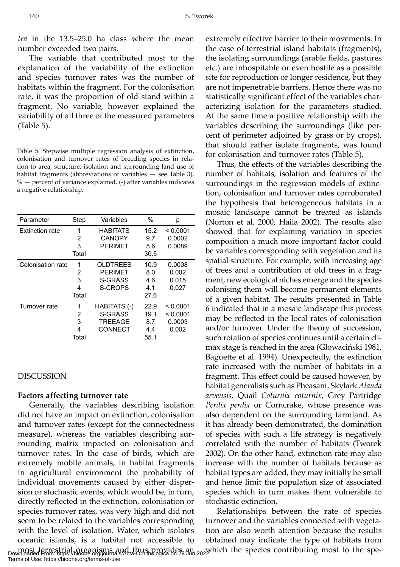*tra* in the 13.5–25.0 ha class where the mean number exceeded two pairs.

The variable that contributed most to the explanation of the variability of the extinction and species turnover rates was the number of habitats within the fragment. For the colonisation rate, it was the proportion of old stand within a fragment. No variable, however explained the variability of all three of the measured parameters (Table 5).

Table 5. Stepwise multiple regression analysis of extinction, colonisation and turnover rates of breeding species in relation to area, structure, isolation and surrounding land use of habitat fragments (abbreviations of variables — see Table 3). % — percent of variance explained, (-) after variables indicates a negative relationship.

| Parameter              | Step  | Variables       | %    | р        |
|------------------------|-------|-----------------|------|----------|
| <b>Extinction rate</b> | 1     | <b>HABITATS</b> | 15.2 | < 0.0001 |
|                        | 2     | <b>CANOPY</b>   | 9.7  | 0.0002   |
|                        | 3     | <b>PERIMET</b>  | 5.6  | 0.0089   |
|                        | Total |                 | 30.5 |          |
| Colonisation rate      | 1     | <b>OLDTREES</b> | 10.9 | 0.0008   |
|                        | 2     | <b>PERIMET</b>  | 8.0  | 0.002    |
|                        | 3     | S-GRASS         | 4.6  | 0.015    |
|                        | 4     | <b>S-CROPS</b>  | 4.1  | 0.027    |
|                        | Total |                 | 27.6 |          |
| Turnover rate          | 1     | HABITATS (-)    | 22.9 | < 0.0001 |
|                        | 2     | S-GRASS         | 19.1 | < 0.0001 |
|                        | 3     | <b>TREEAGE</b>  | 8.7  | 0.0003   |
|                        | 4     | CONNECT         | 4.4  | 0.002    |
|                        | Total |                 | 55.1 |          |

## DISCUSSION

## **Factors affecting turnover rate**

Generally, the variables describing isolation did not have an impact on extinction, colonisation and turnover rates (except for the connectedness measure), whereas the variables describing surrounding matrix impacted on colonisation and turnover rates. In the case of birds, which are extremely mobile animals, in habitat fragments in agricultural environment the probability of individual movements caused by either dispersion or stochastic events, which would be, in turn, directly reflected in the extinction, colonisation or species turnover rates, was very high and did not seem to be related to the variables corresponding with the level of isolation. Water, which isolates oceanic islands, is a habitat not accessible to

extremely effective barrier to their movements. In the case of terrestrial island habitats (fragments), the isolating surroundings (arable fields, pastures etc.) are inhospitable or even hostile as a possible site for reproduction or longer residence, but they are not impenetrable barriers. Hence there was no statistically significant effect of the variables characterizing isolation for the parameters studied. At the same time a positive relationship with the variables describing the surroundings (like percent of perimeter adjoined by grass or by crops), that should rather isolate fragments, was found for colonisation and turnover rates (Table 5).

Thus, the effects of the variables describing the number of habitats, isolation and features of the surroundings in the regression models of extinction, colonisation and turnover rates corroborated the hypothesis that heterogeneous habitats in a mosaic landscape cannot be treated as islands (Norton et al. 2000, Haila 2002). The results also showed that for explaining variation in species composition a much more important factor could be variables corresponding with vegetation and its spatial structure. For example, with increasing age of trees and a contribution of old trees in a fragment, new ecological niches emerge and the species colonising them will become permanent elements of a given habitat. The results presented in Table 6 indicated that in a mosaic landscape this process may be reflected in the local rates of colonisation and/or turnover. Under the theory of succession, such rotation of species continues until a certain climax stage is reached in the area (Głowaciński 1981, Baguette et al. 1994). Unexpectedly, the extinction rate increased with the number of habitats in a fragment. This effect could be caused however, by habitat generalists such as Pheasant, Skylark *Alauda arvensis*, Quail *Coturnix coturnix*, Grey Partridge *Perdix perdix* or Corncrake, whose presence was also dependent on the surrounding farmland. As it has already been demonstrated, the domination of species with such a life strategy is negatively correlated with the number of habitats (Tworek 2002). On the other hand, extinction rate may also increase with the number of habitats because as habitat types are added, they may initially be small and hence limit the population size of associated species which in turn makes them vulnerable to stochastic extinction.

most terrestrial organisms and thus provides an <sub>202</sub> which the species contributing most to the spe-<br>Downloaded From: https://bioone.org/journals/Acta-Ornithologica on 29 Jun 2022 Relationships between the rate of species turnover and the variables connected with vegetation are also worth attention because the results obtained may indicate the type of habitats from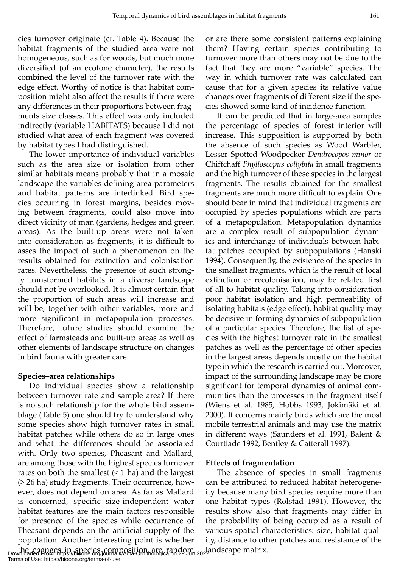cies turnover originate (cf. Table 4). Because the habitat fragments of the studied area were not homogeneous, such as for woods, but much more diversified (of an ecotone character), the results combined the level of the turnover rate with the edge effect. Worthy of notice is that habitat composition might also affect the results if there were any differences in their proportions between fragments size classes. This effect was only included indirectly (variable HABITATS) because I did not studied what area of each fragment was covered by habitat types I had distinguished.

The lower importance of individual variables such as the area size or isolation from other similar habitats means probably that in a mosaic landscape the variables defining area parameters and habitat patterns are interlinked. Bird species occurring in forest margins, besides moving between fragments, could also move into direct vicinity of man (gardens, hedges and green areas). As the built-up areas were not taken into consideration as fragments, it is difficult to asses the impact of such a phenomenon on the results obtained for extinction and colonisation rates. Nevertheless, the presence of such strongly transformed habitats in a diverse landscape should not be overlooked. It is almost certain that the proportion of such areas will increase and will be, together with other variables, more and more significant in metapopulation processes. Therefore, future studies should examine the effect of farmsteads and built-up areas as well as other elements of landscape structure on changes in bird fauna with greater care.

## **Species–area relationships**

Do individual species show a relationship between turnover rate and sample area? If there is no such relationship for the whole bird assemblage (Table 5) one should try to understand why some species show high turnover rates in small habitat patches while others do so in large ones and what the differences should be associated with. Only two species, Pheasant and Mallard, are among those with the highest species turnover rates on both the smallest  $($  <math>1 ha) and the largest (> 26 ha) study fragments. Their occurrence, however, does not depend on area. As far as Mallard is concerned, specific size-independent water habitat features are the main factors responsible for presence of the species while occurrence of Pheasant depends on the artificial supply of the population. Another interesting point is whether

or are there some consistent patterns explaining them? Having certain species contributing to turnover more than others may not be due to the fact that they are more "variable" species. The way in which turnover rate was calculated can cause that for a given species its relative value changes over fragments of different size if the species showed some kind of incidence function.

It can be predicted that in large-area samples the percentage of species of forest interior will increase. This supposition is supported by both the absence of such species as Wood Warbler, Lesser Spotted Woodpecker *Dendrocopos minor* or Chiffchaff *Phylloscopus collybita* in small fragments and the high turnover of these species in the largest fragments. The results obtained for the smallest fragments are much more difficult to explain. One should bear in mind that individual fragments are occupied by species populations which are parts of a metapopulation. Metapopulation dynamics are a complex result of subpopulation dynamics and interchange of individuals between habitat patches occupied by subpopulations (Hanski 1994). Consequently, the existence of the species in the smallest fragments, which is the result of local extinction or recolonisation, may be related first of all to habitat quality. Taking into consideration poor habitat isolation and high permeability of isolating habitats (edge effect), habitat quality may be decisive in forming dynamics of subpopulation of a particular species. Therefore, the list of species with the highest turnover rate in the smallest patches as well as the percentage of other species in the largest areas depends mostly on the habitat type in which the research is carried out. Moreover, impact of the surrounding landscape may be more significant for temporal dynamics of animal communities than the processes in the fragment itself (Wiens et al. 1985, Hobbs 1993, Jokimäki et al. 2000). It concerns mainly birds which are the most mobile terrestrial animals and may use the matrix in different ways (Saunders et al. 1991, Balent & Courtiade 1992, Bentley & Catterall 1997).

## **Effects of fragmentation**

The absence of species in small fragments can be attributed to reduced habitat heterogeneity because many bird species require more than one habitat types (Rolstad 1991). However, the results show also that fragments may differ in the probability of being occupied as a result of various spatial characteristics: size, habitat quality, distance to other patches and resistance of the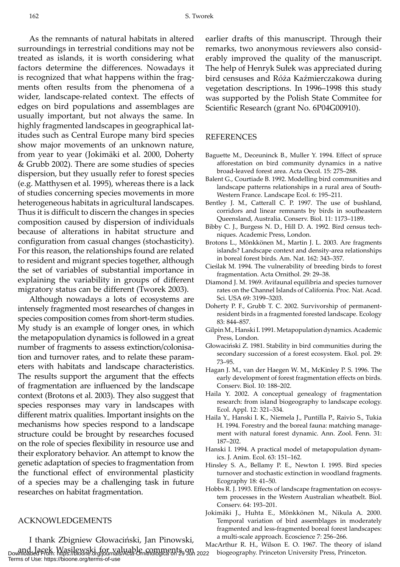As the remnants of natural habitats in altered surroundings in terrestrial conditions may not be treated as islands, it is worth considering what factors determine the differences. Nowadays it is recognized that what happens within the fragments often results from the phenomena of a wider, landscape-related context. The effects of edges on bird populations and assemblages are usually important, but not always the same. In highly fragmented landscapes in geographical latitudes such as Central Europe many bird species show major movements of an unknown nature, from year to year (Jokimäki et al. 2000, Doherty & Grubb 2002). There are some studies of species dispersion, but they usually refer to forest species (e.g. Matthysen et al. 1995), whereas there is a lack of studies concerning species movements in more heterogeneous habitats in agricultural landscapes. Thus it is difficult to discern the changes in species composition caused by dispersion of individuals because of alterations in habitat structure and configuration from casual changes (stochasticity). For this reason, the relationships found are related to resident and migrant species together, although the set of variables of substantial importance in explaining the variability in groups of different migratory status can be different (Tworek 2003).

Although nowadays a lots of ecosystems are intensely fragmented most researches of changes in species composition comes from short-term studies. My study is an example of longer ones, in which the metapopulation dynamics is followed in a great number of fragments to assess extinction/colonisation and turnover rates, and to relate these parameters with habitats and landscape characteristics. The results support the argument that the effects of fragmentation are influenced by the landscape context (Brotons et al. 2003). They also suggest that species responses may vary in landscapes with different matrix qualities. Important insights on the mechanisms how species respond to a landscape structure could be brought by researches focused on the role of species flexibility in resource use and their exploratory behavior. An attempt to know the genetic adaptation of species to fragmentation from the functional effect of environmental plasticity of a species may be a challenging task in future researches on habitat fragmentation.

## ACKNOWLEDGEMENTS

I thank Zbigniew Głowaciński, Jan Pinowski, and Jacek Wasilewski for valuable comments on Downloaded From: https://bioone.org/journals/Acta-Ornithologica on 29 Jun 2022 biogeography. Princeton University Press, Princeton. Terms of Use: https://bioone.org/terms-of-use

earlier drafts of this manuscript. Through their remarks, two anonymous reviewers also considerably improved the quality of the manuscript. The help of Henryk Sułek was appreciated during bird censuses and Róża Kaźmierczakowa during vegetation descriptions. In 1996–1998 this study was supported by the Polish State Commitee for Scientific Research (grant No. 6P04G00910).

#### REFERENCES

- Baguette M., Deceuninck B., Muller Y. 1994. Effect of spruce afforestation on bird community dynamics in a native broad-leaved forest area. Acta Oecol. 15: 275–288.
- Balent G., Courtiade B. 1992. Modelling bird communities and landscape patterns relationships in a rural area of South-Western France. Landscape Ecol. 6: 195–211.
- Bentley J. M., Catterall C. P. 1997. The use of bushland, corridors and linear remnants by birds in southeastern Queensland, Australia. Conserv. Biol. 11: 1173–1189.
- Bibby C. J., Burgess N. D., Hill D. A. 1992. Bird census techniques. Academic Press, London.
- Brotons L., Mönkkönen M., Martin J. L. 2003. Are fragments islands? Landscape context and density-area relationships in boreal forest birds. Am. Nat. 162: 343–357.
- Cieślak M. 1994. The vulnerability of breeding birds to forest fragmentation. Acta Ornithol. 29: 29–38.
- Diamond J. M. 1969. Avifaunal equilibria and species turnover rates on the Channel Islands of California. Proc. Nat. Acad. Sci. USA 69: 3199–3203.
- Doherty P. F., Grubb T. C. 2002. Survivorship of permanentresident birds in a fragmented forested landscape. Ecology 83: 844–857.
- Gilpin M., Hanski I. 1991. Metapopulation dynamics. Academic Press, London.
- Głowaciński Z. 1981. Stability in bird communities during the secondary succession of a forest ecosystem. Ekol. pol. 29: 73–95.
- Hagan J. M., van der Haegen W. M., McKinley P. S. 1996. The early development of forest fragmentation effects on birds. Conserv. Biol. 10: 188–202.
- Haila Y. 2002. A conceptual genealogy of fragmentation research: from island biogeography to landscape ecology. Ecol. Appl. 12: 321–334.
- Haila Y., Hanski I. K., Niemela J., Puntilla P., Raivio S., Tukia H. 1994. Forestry and the boreal fauna: matching management with natural forest dynamic. Ann. Zool. Fenn. 31: 187–202.
- Hanski I. 1994. A practical model of metapopulation dynamics. J. Anim. Ecol. 63: 151–162.
- Hinsley S. A., Bellamy P. E., Newton I. 1995. Bird species turnover and stochastic extinction in woodland fragments. Ecography 18: 41–50.
- Hobbs R. J. 1993. Effects of landscape fragmentation on ecosystem processes in the Western Australian wheatbelt. Biol. Conserv. 64: 193–201.
- Jokimäki J., Huhta E., Mönkkönen M., Nikula A. 2000. Temporal variation of bird assemblages in moderately fragmented and less-fragmented boreal forest landscapes: a multi-scale approach. Ecoscience 7: 256–266.

MacArthur R. H., Wilson E. O. 1967. The theory of island